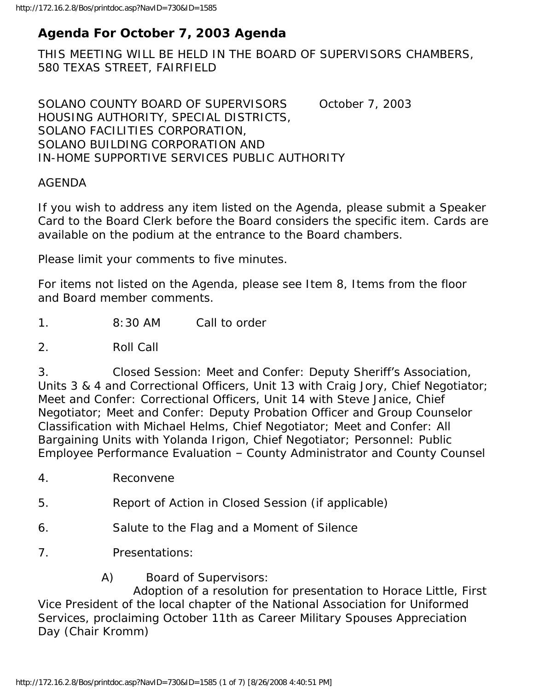## **Agenda For October 7, 2003 Agenda**

THIS MEETING WILL BE HELD IN THE BOARD OF SUPERVISORS CHAMBERS, 580 TEXAS STREET, FAIRFIELD

SOLANO COUNTY BOARD OF SUPERVISORS October 7, 2003 HOUSING AUTHORITY, SPECIAL DISTRICTS, SOLANO FACILITIES CORPORATION, SOLANO BUILDING CORPORATION AND IN-HOME SUPPORTIVE SERVICES PUBLIC AUTHORITY

#### AGENDA

If you wish to address any item listed on the Agenda, please submit a Speaker Card to the Board Clerk before the Board considers the specific item. Cards are available on the podium at the entrance to the Board chambers.

Please limit your comments to five minutes.

For items not listed on the Agenda, please see Item 8, Items from the floor and Board member comments.

1. 8:30 AM Call to order

2. Roll Call

3. Closed Session: Meet and Confer: Deputy Sheriff's Association, Units 3 & 4 and Correctional Officers, Unit 13 with Craig Jory, Chief Negotiator; Meet and Confer: Correctional Officers, Unit 14 with Steve Janice, Chief Negotiator; Meet and Confer: Deputy Probation Officer and Group Counselor Classification with Michael Helms, Chief Negotiator; Meet and Confer: All Bargaining Units with Yolanda Irigon, Chief Negotiator; Personnel: Public Employee Performance Evaluation – County Administrator and County Counsel

- 4. Reconvene
- 5. Report of Action in Closed Session (if applicable)
- 6. Salute to the Flag and a Moment of Silence
- 7. Presentations:
	- A) Board of Supervisors:

 Adoption of a resolution for presentation to Horace Little, First Vice President of the local chapter of the National Association for Uniformed Services, proclaiming October 11th as Career Military Spouses Appreciation Day (Chair Kromm)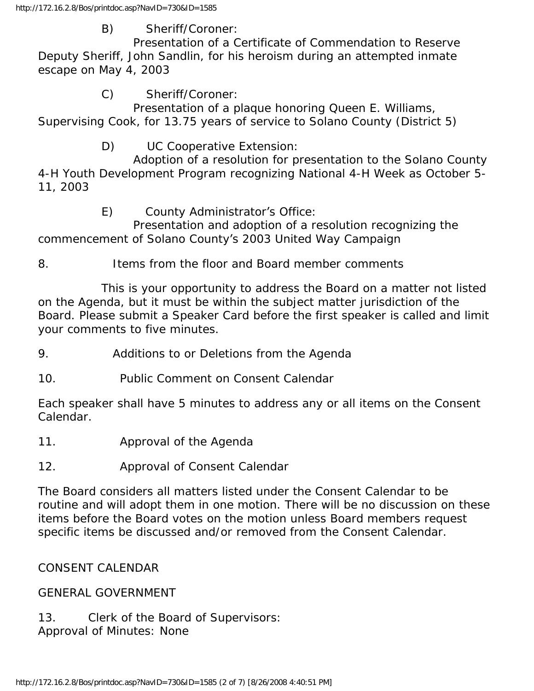### B) Sheriff/Coroner:

 Presentation of a Certificate of Commendation to Reserve Deputy Sheriff, John Sandlin, for his heroism during an attempted inmate escape on May 4, 2003

## C) Sheriff/Coroner:

 Presentation of a plaque honoring Queen E. Williams, Supervising Cook, for 13.75 years of service to Solano County (District 5)

## D) UC Cooperative Extension:

 Adoption of a resolution for presentation to the Solano County 4-H Youth Development Program recognizing National 4-H Week as October 5- 11, 2003

## E) County Administrator's Office:

 Presentation and adoption of a resolution recognizing the commencement of Solano County's 2003 United Way Campaign

8. Items from the floor and Board member comments

 This is your opportunity to address the Board on a matter not listed on the Agenda, but it must be within the subject matter jurisdiction of the Board. Please submit a Speaker Card before the first speaker is called and limit your comments to five minutes.

9. Additions to or Deletions from the Agenda

10. Public Comment on Consent Calendar

Each speaker shall have 5 minutes to address any or all items on the Consent Calendar.

- 11. Approval of the Agenda
- 12. Approval of Consent Calendar

The Board considers all matters listed under the Consent Calendar to be routine and will adopt them in one motion. There will be no discussion on these items before the Board votes on the motion unless Board members request specific items be discussed and/or removed from the Consent Calendar.

### CONSENT CALENDAR

### GENERAL GOVERNMENT

13. Clerk of the Board of Supervisors: Approval of Minutes: None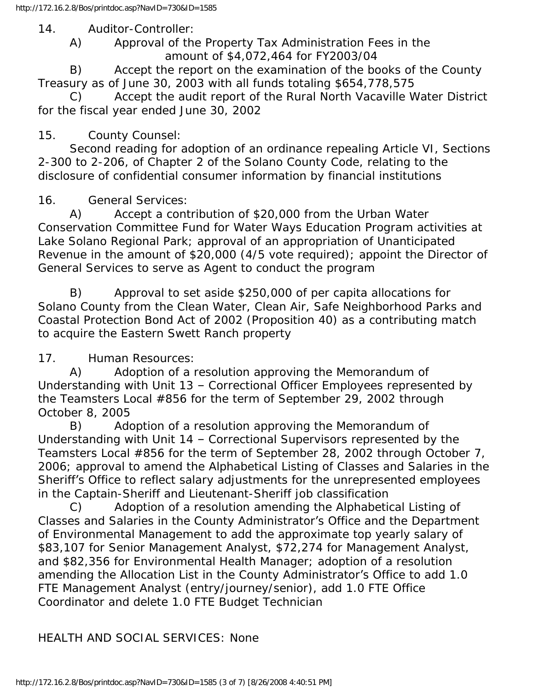14. Auditor-Controller:

 A) Approval of the Property Tax Administration Fees in the amount of \$4,072,464 for FY2003/04

 B) Accept the report on the examination of the books of the County Treasury as of June 30, 2003 with all funds totaling \$654,778,575

 C) Accept the audit report of the Rural North Vacaville Water District for the fiscal year ended June 30, 2002

### 15. County Counsel:

 Second reading for adoption of an ordinance repealing Article VI, Sections 2-300 to 2-206, of Chapter 2 of the Solano County Code, relating to the disclosure of confidential consumer information by financial institutions

16. General Services:

 A) Accept a contribution of \$20,000 from the Urban Water Conservation Committee Fund for Water Ways Education Program activities at Lake Solano Regional Park; approval of an appropriation of Unanticipated Revenue in the amount of \$20,000 (4/5 vote required); appoint the Director of General Services to serve as Agent to conduct the program

 B) Approval to set aside \$250,000 of per capita allocations for Solano County from the Clean Water, Clean Air, Safe Neighborhood Parks and Coastal Protection Bond Act of 2002 (Proposition 40) as a contributing match to acquire the Eastern Swett Ranch property

17. Human Resources:

 A) Adoption of a resolution approving the Memorandum of Understanding with Unit 13 – Correctional Officer Employees represented by the Teamsters Local #856 for the term of September 29, 2002 through October 8, 2005

 B) Adoption of a resolution approving the Memorandum of Understanding with Unit 14 – Correctional Supervisors represented by the Teamsters Local #856 for the term of September 28, 2002 through October 7, 2006; approval to amend the Alphabetical Listing of Classes and Salaries in the Sheriff's Office to reflect salary adjustments for the unrepresented employees in the Captain-Sheriff and Lieutenant-Sheriff job classification

 C) Adoption of a resolution amending the Alphabetical Listing of Classes and Salaries in the County Administrator's Office and the Department of Environmental Management to add the approximate top yearly salary of \$83,107 for Senior Management Analyst, \$72,274 for Management Analyst, and \$82,356 for Environmental Health Manager; adoption of a resolution amending the Allocation List in the County Administrator's Office to add 1.0 FTE Management Analyst (entry/journey/senior), add 1.0 FTE Office Coordinator and delete 1.0 FTE Budget Technician

HEALTH AND SOCIAL SERVICES: None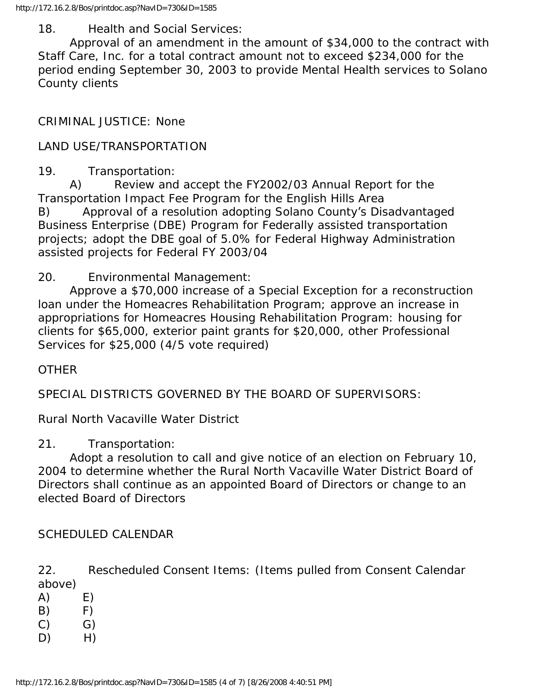18. Health and Social Services:

 Approval of an amendment in the amount of \$34,000 to the contract with Staff Care, Inc. for a total contract amount not to exceed \$234,000 for the period ending September 30, 2003 to provide Mental Health services to Solano County clients

CRIMINAL JUSTICE: None

LAND USE/TRANSPORTATION

19. Transportation:

 A) Review and accept the FY2002/03 Annual Report for the Transportation Impact Fee Program for the English Hills Area B) Approval of a resolution adopting Solano County's Disadvantaged Business Enterprise (DBE) Program for Federally assisted transportation projects; adopt the DBE goal of 5.0% for Federal Highway Administration assisted projects for Federal FY 2003/04

20. Environmental Management:

 Approve a \$70,000 increase of a Special Exception for a reconstruction loan under the Homeacres Rehabilitation Program; approve an increase in appropriations for Homeacres Housing Rehabilitation Program: housing for clients for \$65,000, exterior paint grants for \$20,000, other Professional Services for \$25,000 (4/5 vote required)

#### **OTHER**

SPECIAL DISTRICTS GOVERNED BY THE BOARD OF SUPERVISORS:

Rural North Vacaville Water District

21. Transportation:

 Adopt a resolution to call and give notice of an election on February 10, 2004 to determine whether the Rural North Vacaville Water District Board of Directors shall continue as an appointed Board of Directors or change to an elected Board of Directors

SCHEDULED CALENDAR

22. Rescheduled Consent Items: (Items pulled from Consent Calendar above)

 $(A)$   $E)$  $(B)$  F)  $(C)$   $G)$  $D)$  H)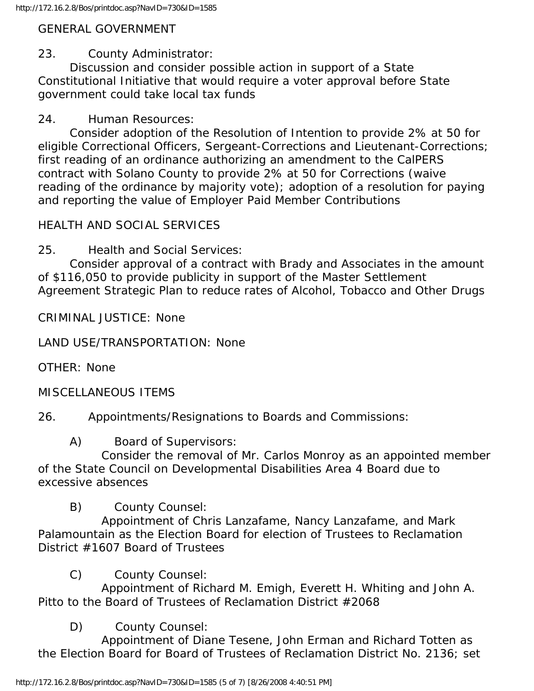## GENERAL GOVERNMENT

# 23. County Administrator:

 Discussion and consider possible action in support of a State Constitutional Initiative that would require a voter approval before State government could take local tax funds

## 24. Human Resources:

 Consider adoption of the Resolution of Intention to provide 2% at 50 for eligible Correctional Officers, Sergeant-Corrections and Lieutenant-Corrections; first reading of an ordinance authorizing an amendment to the CalPERS contract with Solano County to provide 2% at 50 for Corrections (waive reading of the ordinance by majority vote); adoption of a resolution for paying and reporting the value of Employer Paid Member Contributions

# HEALTH AND SOCIAL SERVICES

25. Health and Social Services:

 Consider approval of a contract with Brady and Associates in the amount of \$116,050 to provide publicity in support of the Master Settlement Agreement Strategic Plan to reduce rates of Alcohol, Tobacco and Other Drugs

CRIMINAL JUSTICE: None

LAND USE/TRANSPORTATION: None

OTHER: None

MISCELLANEOUS ITEMS

26. Appointments/Resignations to Boards and Commissions:

A) Board of Supervisors:

 Consider the removal of Mr. Carlos Monroy as an appointed member of the State Council on Developmental Disabilities Area 4 Board due to excessive absences

B) County Counsel:

 Appointment of Chris Lanzafame, Nancy Lanzafame, and Mark Palamountain as the Election Board for election of Trustees to Reclamation District #1607 Board of Trustees

C) County Counsel:

 Appointment of Richard M. Emigh, Everett H. Whiting and John A. Pitto to the Board of Trustees of Reclamation District #2068

# D) County Counsel:

 Appointment of Diane Tesene, John Erman and Richard Totten as the Election Board for Board of Trustees of Reclamation District No. 2136; set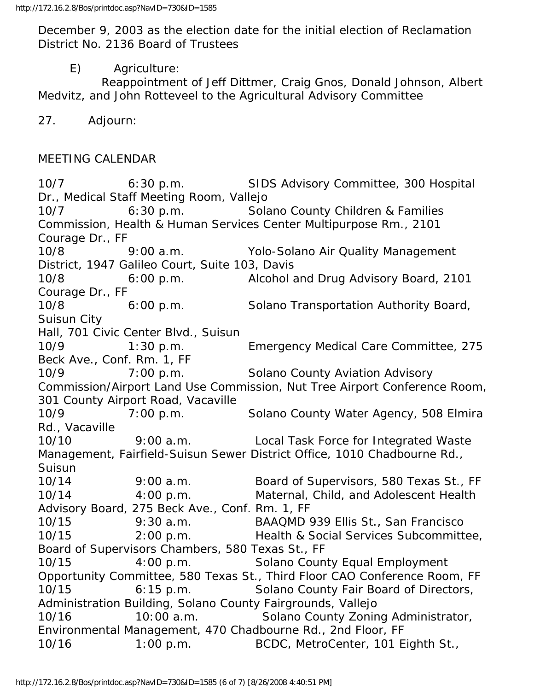December 9, 2003 as the election date for the initial election of Reclamation District No. 2136 Board of Trustees

E) Agriculture:

 Reappointment of Jeff Dittmer, Craig Gnos, Donald Johnson, Albert Medvitz, and John Rotteveel to the Agricultural Advisory Committee

27. Adjourn:

#### MEETING CALENDAR

10/7 6:30 p.m. SIDS Advisory Committee, 300 Hospital Dr., Medical Staff Meeting Room, Vallejo 10/7 6:30 p.m. Solano County Children & Families Commission, Health & Human Services Center Multipurpose Rm., 2101 Courage Dr., FF 10/8 9:00 a.m. Yolo-Solano Air Quality Management District, 1947 Galileo Court, Suite 103, Davis 10/8 6:00 p.m. Alcohol and Drug Advisory Board, 2101 Courage Dr., FF 10/8 6:00 p.m. Solano Transportation Authority Board, Suisun City Hall, 701 Civic Center Blvd., Suisun 10/9 1:30 p.m. Emergency Medical Care Committee, 275 Beck Ave., Conf. Rm. 1, FF 10/9 7:00 p.m. Solano County Aviation Advisory Commission/Airport Land Use Commission, Nut Tree Airport Conference Room, 301 County Airport Road, Vacaville 10/9 7:00 p.m. Solano County Water Agency, 508 Elmira Rd., Vacaville 10/10 9:00 a.m. Local Task Force for Integrated Waste Management, Fairfield-Suisun Sewer District Office, 1010 Chadbourne Rd., Suisun 10/14 9:00 a.m. Board of Supervisors, 580 Texas St., FF 10/14 4:00 p.m. Maternal, Child, and Adolescent Health Advisory Board, 275 Beck Ave., Conf. Rm. 1, FF 10/15 9:30 a.m. BAAQMD 939 Ellis St., San Francisco 10/15 2:00 p.m. Health & Social Services Subcommittee, Board of Supervisors Chambers, 580 Texas St., FF 10/15 4:00 p.m. Solano County Equal Employment Opportunity Committee, 580 Texas St., Third Floor CAO Conference Room, FF 10/15 6:15 p.m. Solano County Fair Board of Directors, Administration Building, Solano County Fairgrounds, Vallejo 10/16 10:00 a.m. Solano County Zoning Administrator, Environmental Management, 470 Chadbourne Rd., 2nd Floor, FF 10/16 1:00 p.m. BCDC, MetroCenter, 101 Eighth St.,